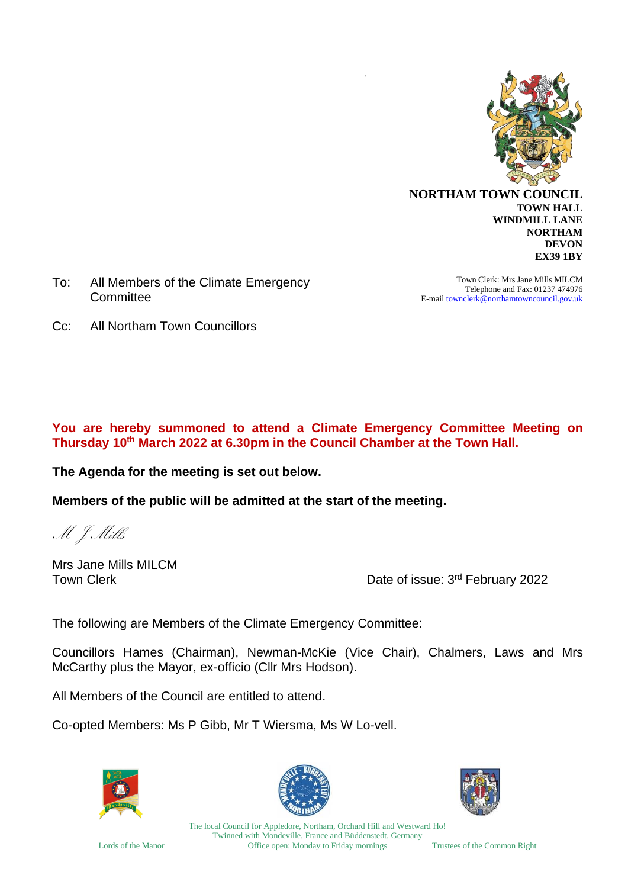

**WINDMILL LANE NORTHAM DEVON EX39 1BY**

To: All Members of the Climate Emergency **Committee** 

Town Clerk: Mrs Jane Mills MILCM Telephone and Fax: 01237 474976 E-mai[l townclerk@northamtowncouncil.gov.uk](mailto:townclerk@northamtowncouncil.gov.uk)

Cc: All Northam Town Councillors

#### **You are hereby summoned to attend a Climate Emergency Committee Meeting on Thursday 10 th March 2022 at 6.30pm in the Council Chamber at the Town Hall.**

*.* 

**The Agenda for the meeting is set out below.**

**Members of the public will be admitted at the start of the meeting.**

M J Mills

Mrs Jane Mills MILCM

Town Clerk **The Clerk Contract Contract Contract Contract Contract Contract Contract Contract Contract Contract Contract Contract Contract Contract Contract Contract Contract Contract Contract Contract Contract Contract Co** 

The following are Members of the Climate Emergency Committee:

Councillors Hames (Chairman), Newman-McKie (Vice Chair), Chalmers, Laws and Mrs McCarthy plus the Mayor, ex-officio (Cllr Mrs Hodson).

All Members of the Council are entitled to attend.

Co-opted Members: Ms P Gibb, Mr T Wiersma, Ms W Lo-vell.







The local Council for Appledore, Northam, Orchard Hill and Westward Ho! Twinned with Mondeville, France and Büddenstedt, Germany Lords of the Manor Office open: Monday to Friday mornings Trustees of the Common Right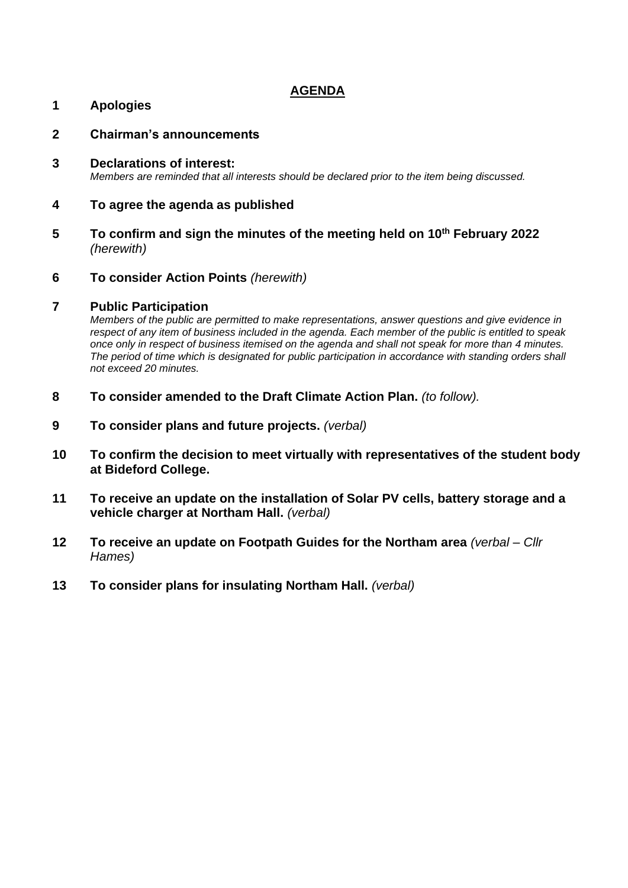### **AGENDA**

#### **1 Apologies**

- **2 Chairman's announcements**
- **3 Declarations of interest:** *Members are reminded that all interests should be declared prior to the item being discussed.*

#### **4 To agree the agenda as published**

- **5 To confirm and sign the minutes of the meeting held on 10th February 2022** *(herewith)*
- **6 To consider Action Points** *(herewith)*

#### **7 Public Participation**

*Members of the public are permitted to make representations, answer questions and give evidence in respect of any item of business included in the agenda. Each member of the public is entitled to speak once only in respect of business itemised on the agenda and shall not speak for more than 4 minutes. The period of time which is designated for public participation in accordance with standing orders shall not exceed 20 minutes.*

- **8 To consider amended to the Draft Climate Action Plan.** *(to follow).*
- **9 To consider plans and future projects.** *(verbal)*
- **10 To confirm the decision to meet virtually with representatives of the student body at Bideford College.**
- **11 To receive an update on the installation of Solar PV cells, battery storage and a vehicle charger at Northam Hall.** *(verbal)*
- **12 To receive an update on Footpath Guides for the Northam area** *(verbal – Cllr Hames)*
- **13 To consider plans for insulating Northam Hall.** *(verbal)*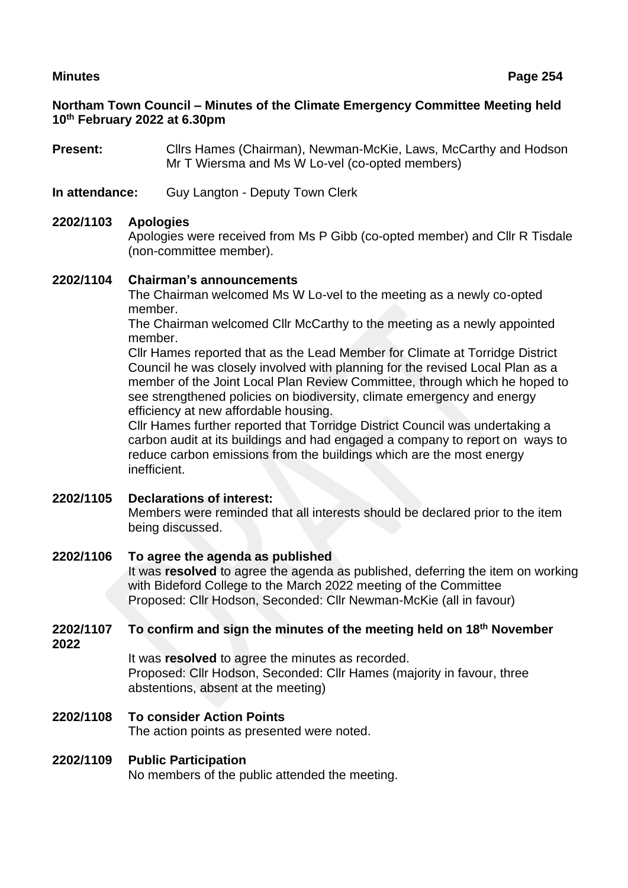### **Northam Town Council – Minutes of the Climate Emergency Committee Meeting held 10th February 2022 at 6.30pm**

**Present:** Cllrs Hames (Chairman), Newman-McKie, Laws, McCarthy and Hodson Mr T Wiersma and Ms W Lo-vel (co-opted members)

**In attendance:** Guy Langton - Deputy Town Clerk

#### **2202/1103 Apologies**

Apologies were received from Ms P Gibb (co-opted member) and Cllr R Tisdale (non-committee member).

#### **2202/1104 Chairman's announcements**

The Chairman welcomed Ms W Lo-vel to the meeting as a newly co-opted member.

The Chairman welcomed Cllr McCarthy to the meeting as a newly appointed member.

Cllr Hames reported that as the Lead Member for Climate at Torridge District Council he was closely involved with planning for the revised Local Plan as a member of the Joint Local Plan Review Committee, through which he hoped to see strengthened policies on biodiversity, climate emergency and energy efficiency at new affordable housing.

Cllr Hames further reported that Torridge District Council was undertaking a carbon audit at its buildings and had engaged a company to report on ways to reduce carbon emissions from the buildings which are the most energy inefficient.

#### **2202/1105 Declarations of interest:**

Members were reminded that all interests should be declared prior to the item being discussed.

#### **2202/1106 To agree the agenda as published**

It was **resolved** to agree the agenda as published, deferring the item on working with Bideford College to the March 2022 meeting of the Committee Proposed: Cllr Hodson, Seconded: Cllr Newman-McKie (all in favour)

#### **2202/1107 To confirm and sign the minutes of the meeting held on 18th November 2022**

It was **resolved** to agree the minutes as recorded. Proposed: Cllr Hodson, Seconded: Cllr Hames (majority in favour, three abstentions, absent at the meeting)

**2202/1108 To consider Action Points** The action points as presented were noted.

#### **2202/1109 Public Participation**

No members of the public attended the meeting.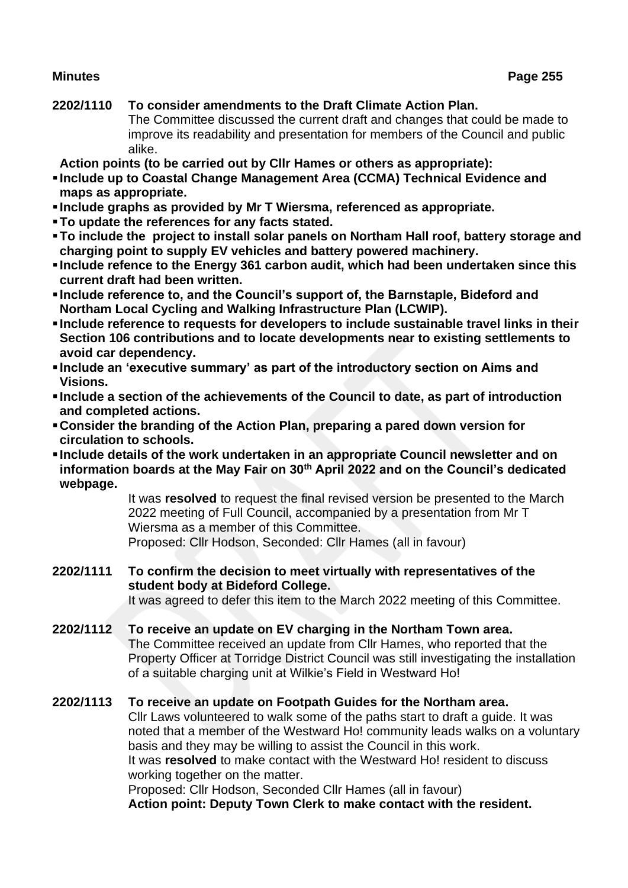## **2202/1110 To consider amendments to the Draft Climate Action Plan.**

The Committee discussed the current draft and changes that could be made to improve its readability and presentation for members of the Council and public alike.

**Action points (to be carried out by Cllr Hames or others as appropriate):**

- **Include up to Coastal Change Management Area (CCMA) Technical Evidence and maps as appropriate.**
- **Include graphs as provided by Mr T Wiersma, referenced as appropriate.**
- ▪**To update the references for any facts stated.**
- ▪**To include the project to install solar panels on Northam Hall roof, battery storage and charging point to supply EV vehicles and battery powered machinery.**
- **Include refence to the Energy 361 carbon audit, which had been undertaken since this current draft had been written.**
- **Include reference to, and the Council's support of, the Barnstaple, Bideford and Northam Local Cycling and Walking Infrastructure Plan (LCWIP).**
- **Include reference to requests for developers to include sustainable travel links in their Section 106 contributions and to locate developments near to existing settlements to avoid car dependency.**
- **Include an 'executive summary' as part of the introductory section on Aims and Visions.**
- **Include a section of the achievements of the Council to date, as part of introduction and completed actions.**
- ▪**Consider the branding of the Action Plan, preparing a pared down version for circulation to schools.**
- **Include details of the work undertaken in an appropriate Council newsletter and on information boards at the May Fair on 30th April 2022 and on the Council's dedicated webpage.**

It was **resolved** to request the final revised version be presented to the March 2022 meeting of Full Council, accompanied by a presentation from Mr T Wiersma as a member of this Committee. Proposed: Cllr Hodson, Seconded: Cllr Hames (all in favour)

**2202/1111 To confirm the decision to meet virtually with representatives of the student body at Bideford College.** It was agreed to defer this item to the March 2022 meeting of this Committee.

**2202/1112 To receive an update on EV charging in the Northam Town area.** The Committee received an update from Cllr Hames, who reported that the Property Officer at Torridge District Council was still investigating the installation of a suitable charging unit at Wilkie's Field in Westward Ho!

### **2202/1113 To receive an update on Footpath Guides for the Northam area.**

Cllr Laws volunteered to walk some of the paths start to draft a guide. It was noted that a member of the Westward Ho! community leads walks on a voluntary basis and they may be willing to assist the Council in this work. It was **resolved** to make contact with the Westward Ho! resident to discuss working together on the matter. Proposed: Cllr Hodson, Seconded Cllr Hames (all in favour)

**Action point: Deputy Town Clerk to make contact with the resident.**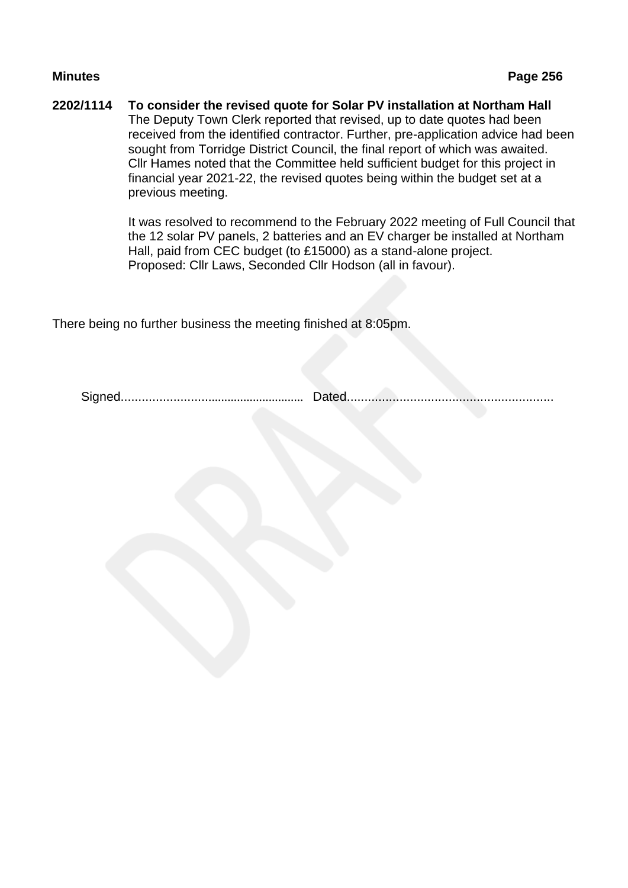#### **2202/1114 To consider the revised quote for Solar PV installation at Northam Hall** The Deputy Town Clerk reported that revised, up to date quotes had been received from the identified contractor. Further, pre-application advice had been sought from Torridge District Council, the final report of which was awaited. Cllr Hames noted that the Committee held sufficient budget for this project in financial year 2021-22, the revised quotes being within the budget set at a previous meeting.

It was resolved to recommend to the February 2022 meeting of Full Council that the 12 solar PV panels, 2 batteries and an EV charger be installed at Northam Hall, paid from CEC budget (to £15000) as a stand-alone project. Proposed: Cllr Laws, Seconded Cllr Hodson (all in favour).

There being no further business the meeting finished at 8:05pm.

Signed....................................................... Dated...........................................................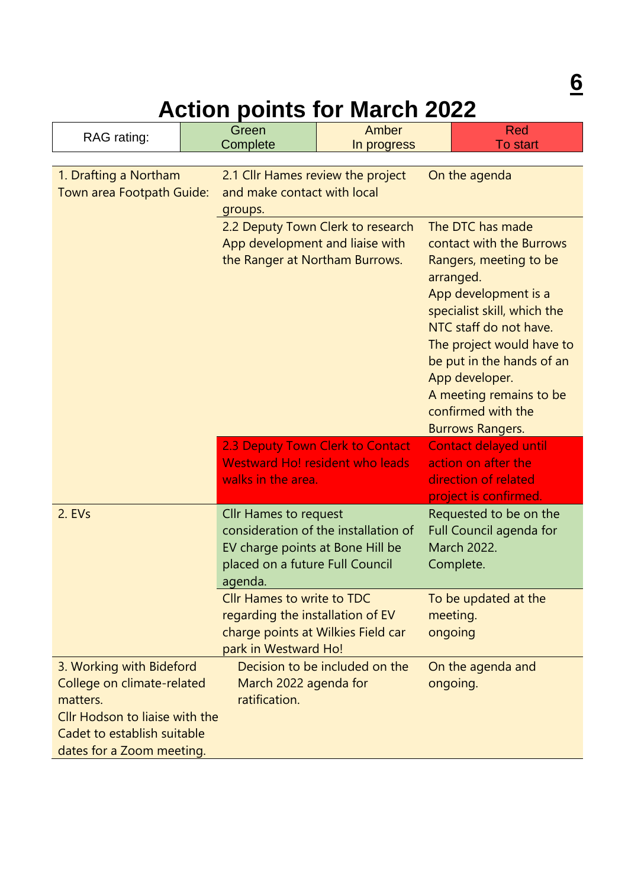# **Action points for March 2022**

| RAG rating:                                                                                                                                                      |  | Green<br>Complete                                                                                                                   | Amber<br>In progress                 |                                                                                                                                                                                                                                                                                                                              | <b>Red</b><br><b>To start</b>                                                                        |  |
|------------------------------------------------------------------------------------------------------------------------------------------------------------------|--|-------------------------------------------------------------------------------------------------------------------------------------|--------------------------------------|------------------------------------------------------------------------------------------------------------------------------------------------------------------------------------------------------------------------------------------------------------------------------------------------------------------------------|------------------------------------------------------------------------------------------------------|--|
| 1. Drafting a Northam<br>Town area Footpath Guide:                                                                                                               |  | 2.1 Cllr Hames review the project<br>On the agenda<br>and make contact with local<br>groups.                                        |                                      |                                                                                                                                                                                                                                                                                                                              |                                                                                                      |  |
|                                                                                                                                                                  |  | 2.2 Deputy Town Clerk to research<br>App development and liaise with<br>the Ranger at Northam Burrows.                              |                                      | The DTC has made<br>contact with the Burrows<br>Rangers, meeting to be<br>arranged.<br>App development is a<br>specialist skill, which the<br>NTC staff do not have.<br>The project would have to<br>be put in the hands of an<br>App developer.<br>A meeting remains to be<br>confirmed with the<br><b>Burrows Rangers.</b> |                                                                                                      |  |
|                                                                                                                                                                  |  | 2.3 Deputy Town Clerk to Contact<br><b>Westward Ho! resident who leads</b><br>walks in the area.                                    |                                      |                                                                                                                                                                                                                                                                                                                              | <b>Contact delayed until</b><br>action on after the<br>direction of related<br>project is confirmed. |  |
| 2. EVs                                                                                                                                                           |  | <b>Cllr Hames to request</b><br>EV charge points at Bone Hill be<br>placed on a future Full Council<br>agenda.                      | consideration of the installation of |                                                                                                                                                                                                                                                                                                                              | Requested to be on the<br>Full Council agenda for<br>March 2022.<br>Complete.                        |  |
|                                                                                                                                                                  |  | <b>Cllr Hames to write to TDC</b><br>regarding the installation of EV<br>charge points at Wilkies Field car<br>park in Westward Ho! |                                      | ongoing                                                                                                                                                                                                                                                                                                                      | To be updated at the<br>meeting.                                                                     |  |
| 3. Working with Bideford<br>College on climate-related<br>matters.<br>Cllr Hodson to liaise with the<br>Cadet to establish suitable<br>dates for a Zoom meeting. |  | March 2022 agenda for<br>ratification.                                                                                              | Decision to be included on the       |                                                                                                                                                                                                                                                                                                                              | On the agenda and<br>ongoing.                                                                        |  |